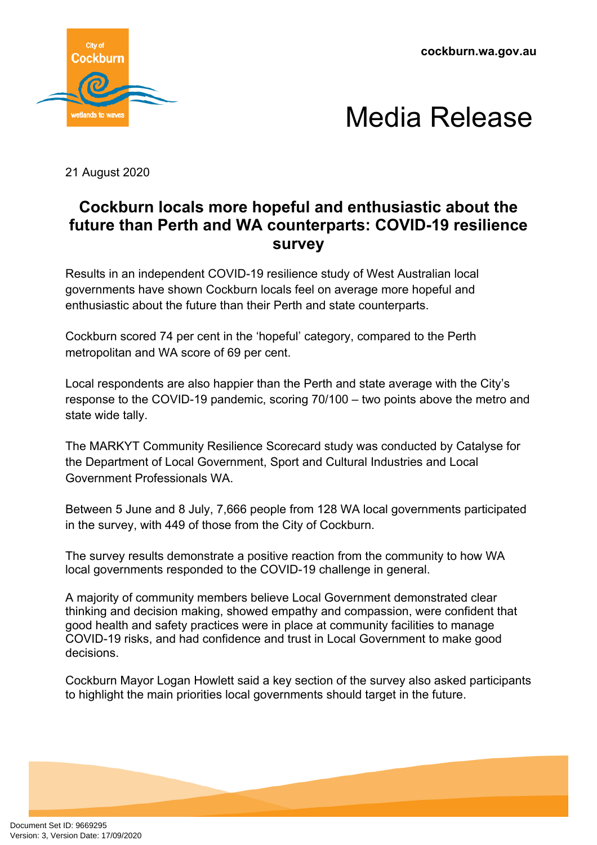



21 August 2020

## **Cockburn locals more hopeful and enthusiastic about the future than Perth and WA counterparts: COVID-19 resilience survey**

Results in an independent COVID-19 resilience study of West Australian local governments have shown Cockburn locals feel on average more hopeful and enthusiastic about the future than their Perth and state counterparts.

Cockburn scored 74 per cent in the 'hopeful' category, compared to the Perth metropolitan and WA score of 69 per cent.

Local respondents are also happier than the Perth and state average with the City's response to the COVID-19 pandemic, scoring 70/100 – two points above the metro and state wide tally.

The MARKYT Community Resilience Scorecard study was conducted by Catalyse for the Department of Local Government, Sport and Cultural Industries and Local Government Professionals WA.

Between 5 June and 8 July, 7,666 people from 128 WA local governments participated in the survey, with 449 of those from the City of Cockburn.

The survey results demonstrate a positive reaction from the community to how WA local governments responded to the COVID-19 challenge in general.

A majority of community members believe Local Government demonstrated clear thinking and decision making, showed empathy and compassion, were confident that good health and safety practices were in place at community facilities to manage COVID-19 risks, and had confidence and trust in Local Government to make good decisions.

Cockburn Mayor Logan Howlett said a key section of the survey also asked participants to highlight the main priorities local governments should target in the future.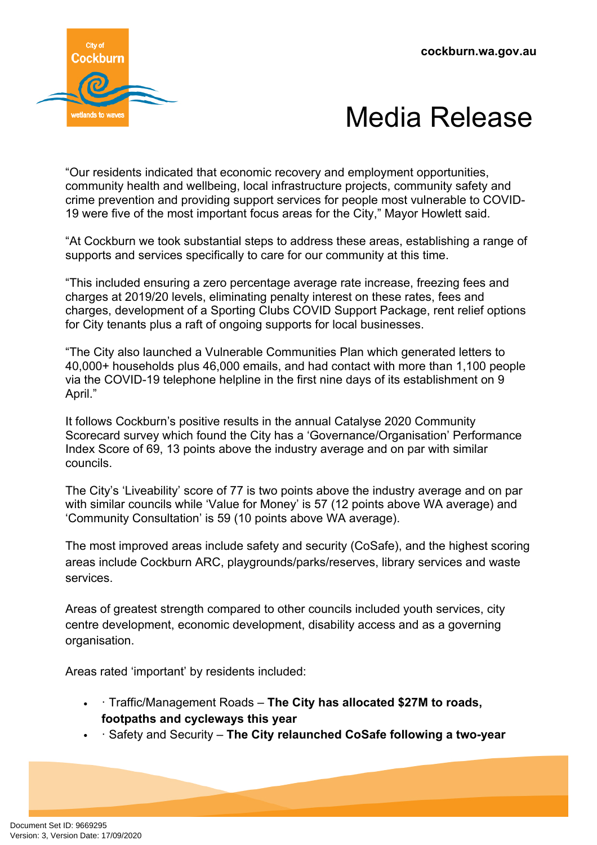



"Our residents indicated that economic recovery and employment opportunities, community health and wellbeing, local infrastructure projects, community safety and crime prevention and providing support services for people most vulnerable to COVID-19 were five of the most important focus areas for the City," Mayor Howlett said.

"At Cockburn we took substantial steps to address these areas, establishing a range of supports and services specifically to care for our community at this time.

"This included ensuring a zero percentage average rate increase, freezing fees and charges at 2019/20 levels, eliminating penalty interest on these rates, fees and charges, development of a Sporting Clubs COVID Support Package, rent relief options for City tenants plus a raft of ongoing supports for local businesses.

"The City also launched a Vulnerable Communities Plan which generated letters to 40,000+ households plus 46,000 emails, and had contact with more than 1,100 people via the COVID-19 telephone helpline in the first nine days of its establishment on 9 April."

It follows Cockburn's positive results in the annual Catalyse 2020 Community Scorecard survey which found the City has a 'Governance/Organisation' Performance Index Score of 69, 13 points above the industry average and on par with similar councils.

The City's 'Liveability' score of 77 is two points above the industry average and on par with similar councils while 'Value for Money' is 57 (12 points above WA average) and 'Community Consultation' is 59 (10 points above WA average).

The most improved areas include safety and security (CoSafe), and the highest scoring areas include Cockburn ARC, playgrounds/parks/reserves, library services and waste services.

Areas of greatest strength compared to other councils included youth services, city centre development, economic development, disability access and as a governing organisation.

Areas rated 'important' by residents included:

- · Traffic/Management Roads **The City has allocated \$27M to roads, footpaths and cycleways this year**
- · Safety and Security **The City relaunched CoSafe following a two-year**